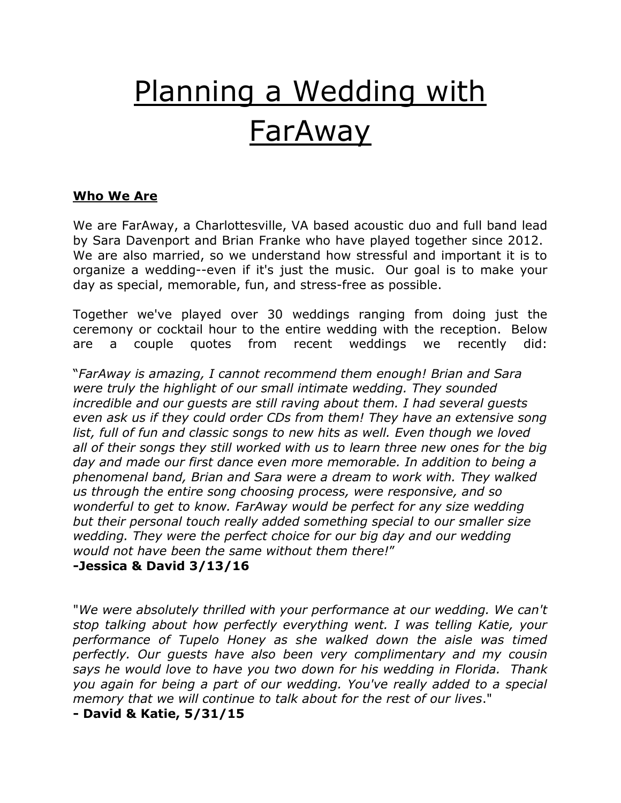# Planning a Wedding with FarAway

#### **Who We Are**

We are FarAway, a Charlottesville, VA based acoustic duo and full band lead by Sara Davenport and Brian Franke who have played together since 2012. We are also married, so we understand how stressful and important it is to organize a wedding--even if it's just the music. Our goal is to make your day as special, memorable, fun, and stress-free as possible.

Together we've played over 30 weddings ranging from doing just the ceremony or cocktail hour to the entire wedding with the reception. Below are a couple quotes from recent weddings we recently did:

"*FarAway is amazing, I cannot recommend them enough! Brian and Sara were truly the highlight of our small intimate wedding. They sounded incredible and our guests are still raving about them. I had several guests even ask us if they could order CDs from them! They have an extensive song*  list, full of fun and classic songs to new hits as well. Even though we loved all of their songs they still worked with us to learn three new ones for the big *day and made our first dance even more memorable. In addition to being a phenomenal band, Brian and Sara were a dream to work with. They walked us through the entire song choosing process, were responsive, and so wonderful to get to know. FarAway would be perfect for any size wedding but their personal touch really added something special to our smaller size wedding. They were the perfect choice for our big day and our wedding would not have been the same without them there!*"

#### **-Jessica & David 3/13/16**

"*We were absolutely thrilled with your performance at our wedding. We can't stop talking about how perfectly everything went. I was telling Katie, your performance of Tupelo Honey as she walked down the aisle was timed perfectly. Our guests have also been very complimentary and my cousin says he would love to have you two down for his wedding in Florida. Thank you again for being a part of our wedding. You've really added to a special memory that we will continue to talk about for the rest of our lives*."

**- David & Katie, 5/31/15**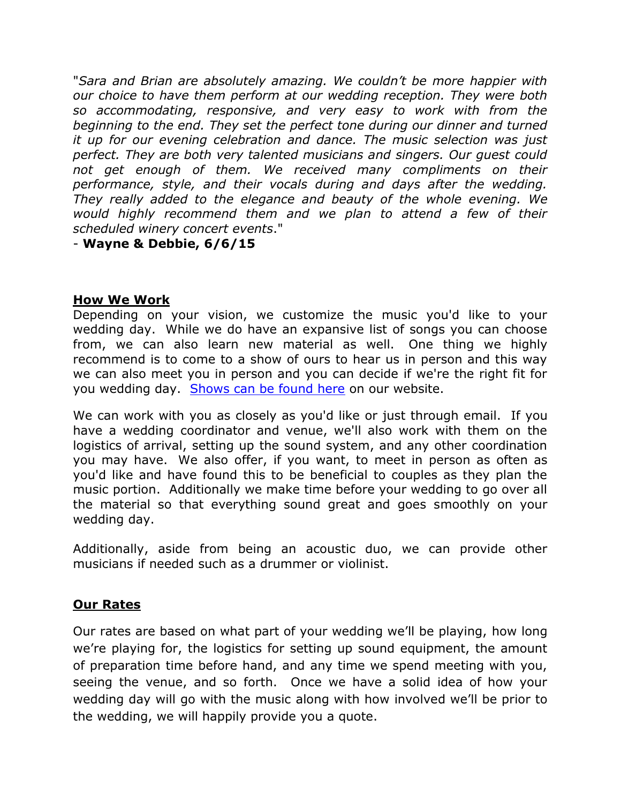"*Sara and Brian are absolutely amazing. We couldn't be more happier with our choice to have them perform at our wedding reception. They were both so accommodating, responsive, and very easy to work with from the beginning to the end. They set the perfect tone during our dinner and turned it up for our evening celebration and dance. The music selection was just perfect. They are both very talented musicians and singers. Our guest could*  not get enough of them. We received many compliments on their *performance, style, and their vocals during and days after the wedding. They really added to the elegance and beauty of the whole evening. We would highly recommend them and we plan to attend a few of their scheduled winery concert events*."

- **Wayne & Debbie, 6/6/15**

### **How We Work**

Depending on your vision, we customize the music you'd like to your wedding day. While we do have an expansive list of songs you can choose from, we can also learn new material as well. One thing we highly recommend is to come to a show of ours to hear us in person and this way we can also meet you in person and you can decide if we're the right fit for you wedding day. [Shows can be found here](http://farawaysongs.com/shows) on our website.

We can work with you as closely as you'd like or just through email. If you have a wedding coordinator and venue, we'll also work with them on the logistics of arrival, setting up the sound system, and any other coordination you may have. We also offer, if you want, to meet in person as often as you'd like and have found this to be beneficial to couples as they plan the music portion. Additionally we make time before your wedding to go over all the material so that everything sound great and goes smoothly on your wedding day.

Additionally, aside from being an acoustic duo, we can provide other musicians if needed such as a drummer or violinist.

## **Our Rates**

Our rates are based on what part of your wedding we'll be playing, how long we're playing for, the logistics for setting up sound equipment, the amount of preparation time before hand, and any time we spend meeting with you, seeing the venue, and so forth. Once we have a solid idea of how your wedding day will go with the music along with how involved we'll be prior to the wedding, we will happily provide you a quote.